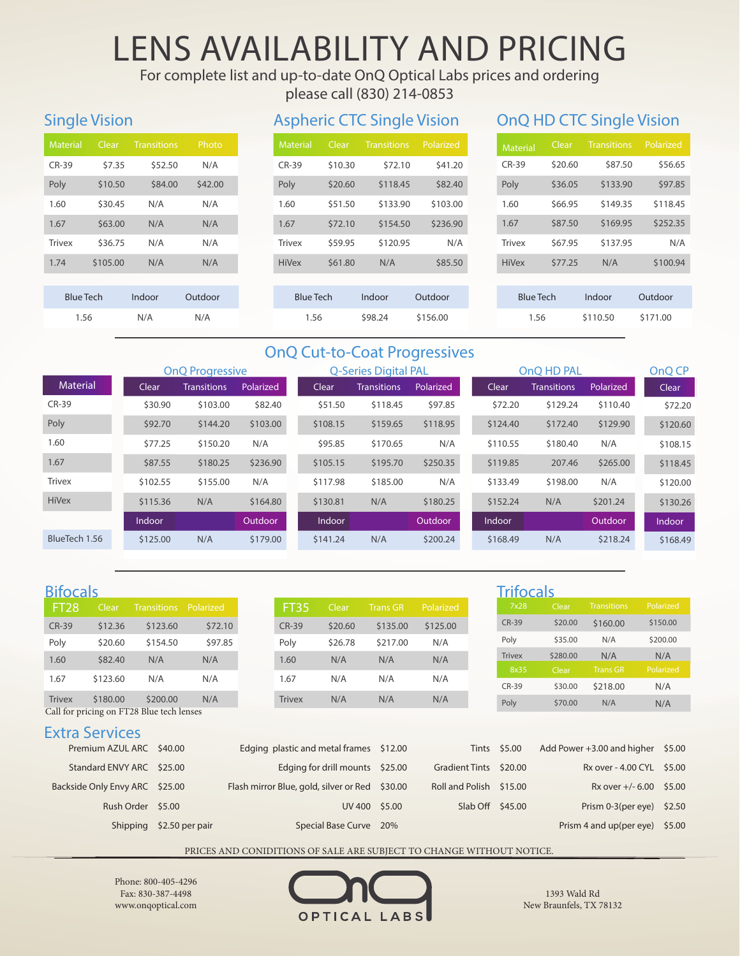# LENS AVAILABILITY AND PRICING

For complete list and up-to-date OnQ Optical Labs prices and ordering

please call (830) 214-0853

## Single Vision

| <b>Material</b>  |          | Clear Transitions | Photo   |  |  |
|------------------|----------|-------------------|---------|--|--|
| $CR-39$          | \$7.35   | \$52.50           | N/A     |  |  |
| Poly             | \$10.50  | \$84.00           | \$42.00 |  |  |
| 1.60             | \$30.45  | N/A               | N/A     |  |  |
| 1.67             | \$63.00  | N/A               | N/A     |  |  |
| <b>Trivex</b>    | \$36.75  | N/A               | N/A     |  |  |
| 1.74             | \$105.00 | N/A               | N/A     |  |  |
|                  |          |                   |         |  |  |
| <b>Blue Tech</b> |          | Indoor            | Outdoor |  |  |
| 1.56             |          | N/A               | N/A     |  |  |

### Aspheric CTC Single Vision OnQ HD CTC Single Vision

| <b>Material</b>  | Clear   | <b>Transitions</b> | Polarized |  |  |
|------------------|---------|--------------------|-----------|--|--|
| $CR-39$          | \$10.30 | \$72.10            | \$41.20   |  |  |
| Poly             | \$20.60 | \$118.45           | \$82.40   |  |  |
| 1.60             | \$51.50 | \$133.90           | \$103.00  |  |  |
| 1.67             | \$72.10 | \$154.50           | \$236.90  |  |  |
| <b>Trivex</b>    | \$59.95 | \$120.95           | N/A       |  |  |
| <b>HiVex</b>     | \$61.80 | N/A                | \$85.50   |  |  |
|                  |         |                    |           |  |  |
| <b>Blue Tech</b> |         | Indoor             | Outdoor   |  |  |
| 1.56             |         | \$98.24            | \$156.00  |  |  |

| <b>Material</b> | Clear            | <b>Transitions</b> | Polarized |  |  |
|-----------------|------------------|--------------------|-----------|--|--|
| $CR-39$         | \$20.60          | \$87.50            | \$56.65   |  |  |
| Poly            | \$36.05          | \$133.90           | \$97.85   |  |  |
| 1.60            | \$66.95          | \$149.35           | \$118.45  |  |  |
| 1.67            | \$87.50          | \$169.95           | \$252.35  |  |  |
| <b>Trivex</b>   | \$67.95          | \$137.95           | N/A       |  |  |
| <b>HiVex</b>    | \$77.25          | N/A                | \$100.94  |  |  |
|                 |                  |                    |           |  |  |
|                 | <b>Blue Tech</b> |                    | Outdoor   |  |  |
| 1.56            |                  | \$110.50           | \$171.00  |  |  |

### OnQ Cut-to-Coat Progressives

|                 | <b>OnQ</b> Progressive |                    |                  | <b>Q-Series Digital PAL</b> |                    |                | OnQ HD PAL |          |                    |                | OnQ CP   |
|-----------------|------------------------|--------------------|------------------|-----------------------------|--------------------|----------------|------------|----------|--------------------|----------------|----------|
| <b>Material</b> | Clear                  | <b>Transitions</b> | <b>Polarized</b> | Clear                       | <b>Transitions</b> | Polarized      |            | Clear    | <b>Transitions</b> | Polarized      | Clear    |
| $CR-39$         | \$30.90                | \$103.00           | \$82.40          | \$51.50                     | \$118.45           | \$97.85        |            | \$72.20  | \$129.24           | \$110.40       | \$72.20  |
| Poly            | \$92.70                | \$144.20           | \$103.00         | \$108.15                    | \$159.65           | \$118.95       |            | \$124.40 | \$172.40           | \$129.90       | \$120.60 |
| 1.60            | \$77.25                | \$150.20           | N/A              | \$95.85                     | \$170.65           | N/A            |            | \$110.55 | \$180.40           | N/A            | \$108.15 |
| 1.67            | \$87.55                | \$180.25           | \$236.90         | \$105.15                    | \$195.70           | \$250.35       |            | \$119.85 | 207.46             | \$265.00       | \$118.45 |
| <b>Trivex</b>   | \$102.55               | \$155.00           | N/A              | \$117.98                    | \$185.00           | N/A            |            | \$133.49 | \$198.00           | N/A            | \$120.00 |
| <b>HiVex</b>    | \$115.36               | N/A                | \$164.80         | \$130.81                    | N/A                | \$180.25       |            | \$152.24 | N/A                | \$201.24       | \$130.26 |
|                 | Indoor                 |                    | Outdoor          | <b>Indoor</b>               |                    | <b>Outdoor</b> |            | Indoor   |                    | <b>Outdoor</b> | Indoor   |
| BlueTech 1.56   | \$125.00               | N/A                | \$179.00         | \$141.24                    | N/A                | \$200.24       |            | \$168.49 | N/A                | \$218.24       | \$168.49 |

| <b>Bifocals</b>  |          |                                                       |           |
|------------------|----------|-------------------------------------------------------|-----------|
| FT <sub>28</sub> | Clear    | Transitions                                           | Polarized |
| <b>CR-39</b>     | \$12.36  | \$123.60                                              | \$72.10   |
| Poly             | \$20.60  | \$154.50                                              | \$97.85   |
| 1.60             | \$82.40  | N/A                                                   | N/A       |
| 1.67             | \$123.60 | N/A                                                   | N/A       |
|                  |          |                                                       |           |
| <b>Trivex</b>    | \$180.00 | \$200.00<br>Call for pricing on FT28 Blue tech lenses | N/A       |
|                  |          |                                                       |           |

### Extra Services

| Premium AZUL ARC \$40.00       |                          | Edging plastic and metal frames \$12.00        |                         | Tints \$5.00 | Add Power $+3.00$ and higher $$5.00$ |  |
|--------------------------------|--------------------------|------------------------------------------------|-------------------------|--------------|--------------------------------------|--|
| Standard ENVY ARC \$25.00      |                          | Edging for drill mounts \$25.00                | Gradient Tints \$20.00  |              | Rx over - 4.00 CYL \$5.00            |  |
| Backside Only Envy ARC \$25.00 |                          | Flash mirror Blue, gold, silver or Red \$30.00 | Roll and Polish \$15.00 |              | Rx over $+/- 6.00$ \$5.00            |  |
| Rush Order \$5.00              |                          | UV 400 \$5.00                                  | Slab Off \$45.00        |              | Prism $0-3$ (per eye) \$2.50         |  |
|                                | Shipping \$2.50 per pair | Special Base Curve 20%                         |                         |              | Prism 4 and up (per eye) $$5.00$     |  |

PRICES AND CONIDITIONS OF SALE ARE SUBJECT TO CHANGE WITHOUT NOTICE.

OPTICAL LABS

1393 Wald Rd New Braunfels, TX 78132

Phone: 800-405-4296 Fax: 830-387-4498 www.onqoptical.com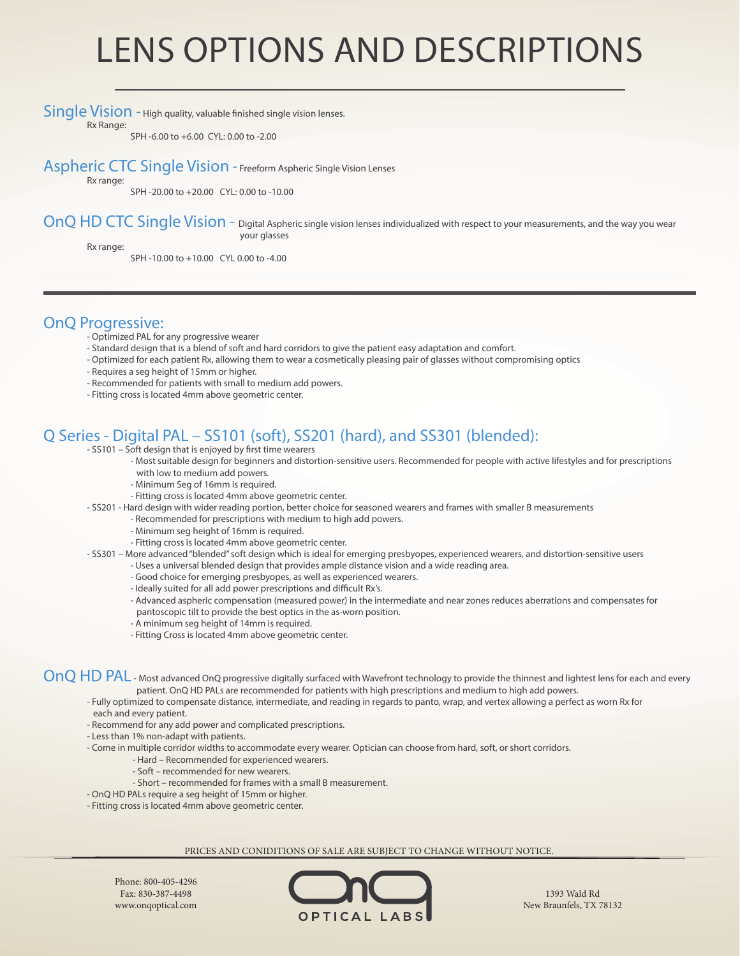# LENS OPTIONS AND DESCRIPTIONS

Single Vision - High quality, valuable finished single vision lenses.

Rx Range:

SPH -6.00 to +6.00 CYL: 0.00 to -2.00

Aspheric CTC Single Vision - Freeform Aspheric Single Vision Lenses

Rx range:

SPH -20.00 to +20.00 CYL: 0.00 to -10.00

OnQ HD CTC Single Vision - Digital Aspheric single vision lenses individualized with respect to your measurements, and the way you wear your glasses

Rx range:

SPH -10.00 to +10.00 CYL 0.00 to -4.00

### OnQ Progressive:

- Optimized PAL for any progressive wearer
- Standard design that is a blend of soft and hard corridors to give the patient easy adaptation and comfort.
- Optimized for each patient Rx, allowing them to wear a cosmetically pleasing pair of glasses without compromising optics
- Requires a seg height of 15mm or higher.
- Recommended for patients with small to medium add powers.
- Fitting cross is located 4mm above geometric center.

## Q Series - Digital PAL – SS101 (soft), SS201 (hard), and SS301 (blended):

- SS101 Soft design that is enjoyed by first time wearers
	- Most suitable design for beginners and distortion-sensitive users. Recommended for people with active lifestyles and for prescriptions with low to medium add powers.
	- Minimum Seg of 16mm is required.
	- Fitting cross is located 4mm above geometric center.
- SS201 Hard design with wider reading portion, better choice for seasoned wearers and frames with smaller B measurements
	- Recommended for prescriptions with medium to high add powers.
	- Minimum seg height of 16mm is required.
	- Fitting cross is located 4mm above geometric center.
- SS301 More advanced "blended" soft design which is ideal for emerging presbyopes, experienced wearers, and distortion-sensitive users
	- Uses a universal blended design that provides ample distance vision and a wide reading area.
		- Good choice for emerging presbyopes, as well as experienced wearers.
		- Ideally suited for all add power prescriptions and difficult Rx's.
		- Advanced aspheric compensation (measured power) in the intermediate and near zones reduces aberrations and compensates for pantoscopic tilt to provide the best optics in the as-worn position.
		- A minimum seg height of 14mm is required.
		- Fitting Cross is located 4mm above geometric center.

OnQ HD PAL - Most advanced OnQ progressive digitally surfaced with Wavefront technology to provide the thinnest and lightest lens for each and every patient. OnQ HD PALs are recommended for patients with high prescriptions and medium to high add powers.

- Fully optimized to compensate distance, intermediate, and reading in regards to panto, wrap, and vertex allowing a perfect as worn Rx for each and every patient.
- Recommend for any add power and complicated prescriptions.
- Less than 1% non-adapt with patients.
- Come in multiple corridor widths to accommodate every wearer. Optician can choose from hard, soft, or short corridors.
	- Hard Recommended for experienced wearers.
	- Soft recommended for new wearers.
	- Short recommended for frames with a small B measurement.
- OnQ HD PALs require a seg height of 15mm or higher.
- Fitting cross is located 4mm above geometric center.

#### PRICES AND CONIDITIONS OF SALE ARE SUBJECT TO CHANGE WITHOUT NOTICE.

Phone: 800-405-4296 Fax: 830-387-4498 www.onqoptical.com



1393 Wald Rd New Braunfels, TX 78132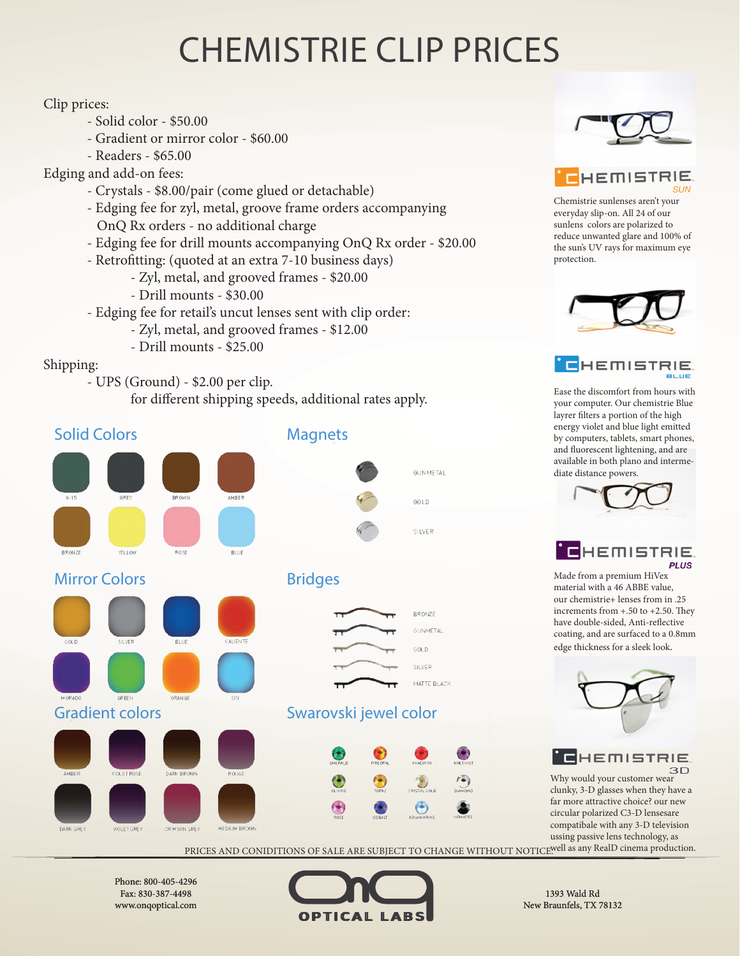# CHEMISTRIE CLIP PRICES

#### Clip prices:

- Solid color \$50.00
- Gradient or mirror color \$60.00
- Readers \$65.00
- Edging and add-on fees:
	- Crystals \$8.00/pair (come glued or detachable)
	- Edging fee for zyl, metal, groove frame orders accompanying OnQ Rx orders - no additional charge
	- Edging fee for drill mounts accompanying OnQ Rx order \$20.00
	- Retrofitting: (quoted at an extra 7-10 business days)
		- Zyl, metal, and grooved frames \$20.00
			- Drill mounts \$30.00
	- Edging fee for retail's uncut lenses sent with clip order:
		- Zyl, metal, and grooved frames \$12.00
		- Drill mounts \$25.00

#### Shipping:

- UPS (Ground) \$2.00 per clip.
	- for different shipping speeds, additional rates apply.





**E**HEMISTRIE

Chemistrie sunlenses aren't your everyday slip-on. All 24 of our sunlens colors are polarized to reduce unwanted glare and 100% of the sun's UV rays for maximum eye protection.





Ease the discomfort from hours with your computer. Our chemistrie Blue layrer filters a portion of the high energy violet and blue light emitted by computers, tablets, smart phones, and fluorescent lightening, and are available in both plano and intermediate distance powers.





Made from a premium HiVex material with a 46 ABBE value, our chemistrie+ lenses from in .25 increments from +.50 to +2.50. They have double-sided, Anti-reflective coating, and are surfaced to a 0.8mm edge thickness for a sleek look.



# **E**HEMISTRIE

Why would your customer wear  $3D$ clunky, 3-D glasses when they have a far more attractive choice? our new circular polarized C3-D lensesare compatibale with any 3-D television ussing passive lens technology, as

PRICES AND CONIDITIONS OF SALE ARE SUBJECT TO CHANGE WITHOUT NOTICE.Well as any RealD cinema production.

Phone: 800-405-4296 Fax: 830-387-4498 www.onqoptical.com



1393 Wald Rd New Braunfels, TX 78132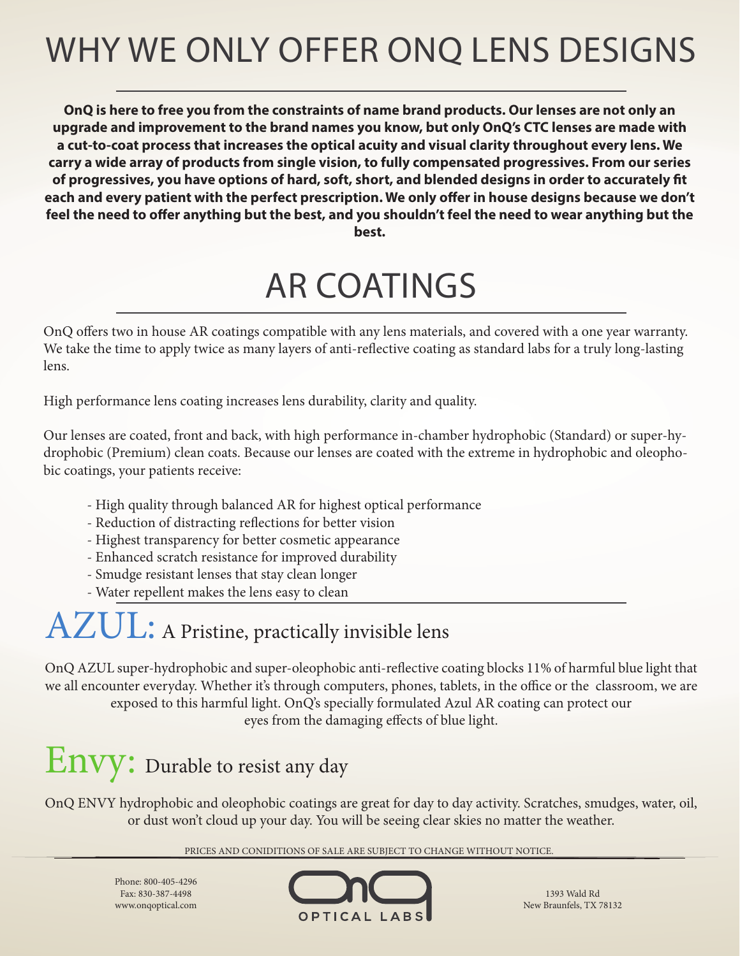# WHY WE ONLY OFFER ONQ LENS DESIGNS

**OnQ is here to free you from the constraints of name brand products. Our lenses are not only an upgrade and improvement to the brand names you know, but only OnQ's CTC lenses are made with a cut-to-coat process that increases the optical acuity and visual clarity throughout every lens. We carry a wide array of products from single vision, to fully compensated progressives. From our series of progressives, you have options of hard, soft, short, and blended designs in order to accurately fit each and every patient with the perfect prescription. We only offer in house designs because we don't feel the need to offer anything but the best, and you shouldn't feel the need to wear anything but the best.** 

# AR COATINGS

OnQ offers two in house AR coatings compatible with any lens materials, and covered with a one year warranty. We take the time to apply twice as many layers of anti-reflective coating as standard labs for a truly long-lasting lens.

High performance lens coating increases lens durability, clarity and quality.

Our lenses are coated, front and back, with high performance in-chamber hydrophobic (Standard) or super-hydrophobic (Premium) clean coats. Because our lenses are coated with the extreme in hydrophobic and oleophobic coatings, your patients receive:

- High quality through balanced AR for highest optical performance
- Reduction of distracting reflections for better vision
- Highest transparency for better cosmetic appearance
- Enhanced scratch resistance for improved durability
- Smudge resistant lenses that stay clean longer
- Water repellent makes the lens easy to clean

# AZUL: A Pristine, practically invisible lens

OnQ AZUL super-hydrophobic and super-oleophobic anti-reflective coating blocks 11% of harmful blue light that we all encounter everyday. Whether it's through computers, phones, tablets, in the office or the classroom, we are exposed to this harmful light. OnQ's specially formulated Azul AR coating can protect our eyes from the damaging effects of blue light.

# Envy: Durable to resist any day

OnQ ENVY hydrophobic and oleophobic coatings are great for day to day activity. Scratches, smudges, water, oil, or dust won't cloud up your day. You will be seeing clear skies no matter the weather.

PRICES AND CONIDITIONS OF SALE ARE SUBJECT TO CHANGE WITHOUT NOTICE.

Phone: 800-405-4296 Fax: 830-387-4498 www.onqoptical.com